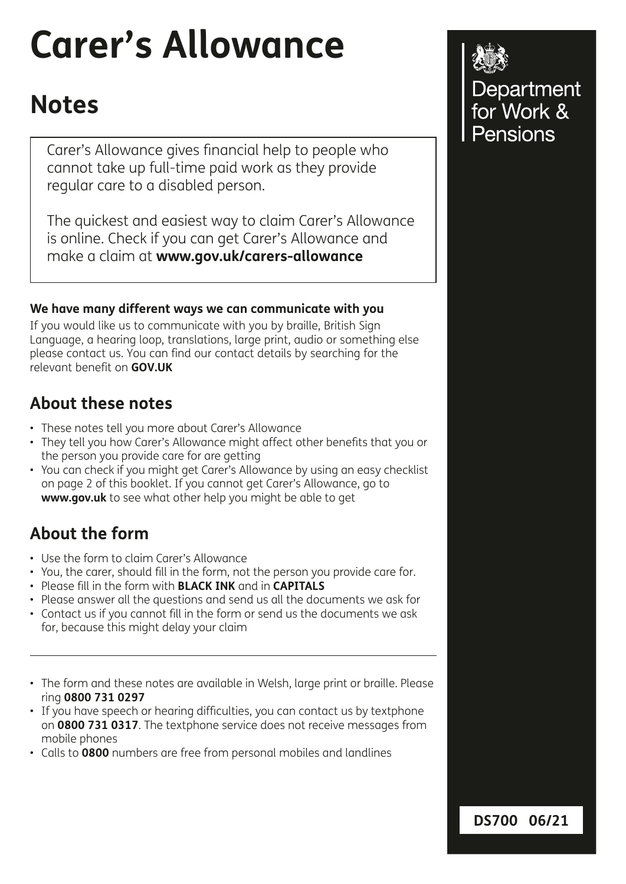# **Carer's Allowance**

# **Notes**

Carer's Allowance gives fnancial help to people who cannot take up full-time paid work as they provide regular care to a disabled person.

The quickest and easiest way to claim Carer's Allowance is online. Check if you can get Carer's Allowance and make a claim at **www.gov.uk/carers-allowance**

#### **We have many different ways we can communicate with you**

If you would like us to communicate with you by braille, British Sign Language, a hearing loop, translations, large print, audio or something else please contact us. You can find our contact details by searching for the relevant benefit on **GOV.UK**

# **About these notes**

- These notes tell you more about Carer's Allowance
- They tell you how Carer's Allowance might affect other benefts that you or the person you provide care for are getting
- You can check if you might get Carer's Allowance by using an easy checklist on page 2 of this booklet. If you cannot get Carer's Allowance, go to **www.gov.uk** to see what other help you might be able to get

# **About the form**

- Use the form to claim Carer's Allowance
- You, the carer, should fll in the form, not the person you provide care for.
- Please fll in the form with **BLACK INK** and in **CAPITALS**
- Please answer all the questions and send us all the documents we ask for
- Contact us if you cannot fll in the form or send us the documents we ask for, because this might delay your claim
- The form and these notes are available in Welsh, large print or braille. Please ring **0800 731 0297**
- If you have speech or hearing diffculties, you can contact us by textphone on **0800 731 0317**. The textphone service does not receive messages from mobile phones
- Calls to **0800** numbers are free from personal mobiles and landlines



Department<br>for Work & Pensions

**DS700 06/21**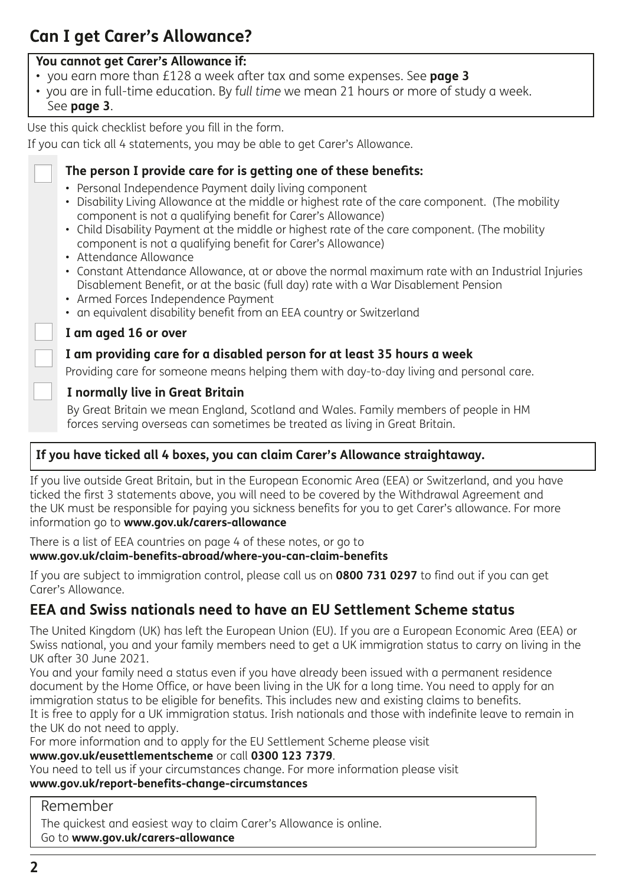# **Can I get Carer's Allowance?**

#### **You cannot get Carer's Allowance if:**

- you earn more than £128 a week after tax and some expenses. See **page 3**
- you are in full-time education. By f*ull time* we mean 21 hours or more of study a week.
- See **page 3**.

Use this quick checklist before you fill in the form.

If you can tick all 4 statements, you may be able to get Carer's Allowance.



#### **The person I provide care for is getting one of these benefts:**

- Personal Independence Payment daily living component
- Disability Living Allowance at the middle or highest rate of the care component. (The mobility component is not a qualifying beneft for Carer's Allowance)
- Child Disability Payment at the middle or highest rate of the care component. (The mobility component is not a qualifying beneft for Carer's Allowance)
- Attendance Allowance
- Constant Attendance Allowance, at or above the normal maximum rate with an Industrial Injuries Disablement Beneft, or at the basic (full day) rate with a War Disablement Pension
- Armed Forces Independence Payment
- an equivalent disability benefit from an EEA country or Switzerland

#### **I am aged 16 or over**

#### **I am providing care for a disabled person for at least 35 hours a week**

Providing care for someone means helping them with day-to-day living and personal care.

#### **I normally live in Great Britain**

By Great Britain we mean England, Scotland and Wales. Family members of people in HM forces serving overseas can sometimes be treated as living in Great Britain.

#### **If you have ticked all 4 boxes, you can claim Carer's Allowance straightaway.**

If you live outside Great Britain, but in the European Economic Area (EEA) or Switzerland, and you have ticked the first 3 statements above, you will need to be covered by the Withdrawal Agreement and the UK must be responsible for paying you sickness benefits for you to get Carer's allowance. For more information go to **www.gov.uk/carers-allowance**

There is a list of EEA countries on page 4 of these notes, or go to **www.gov.uk/claim-benefits-abroad/where-you-can-claim-benefits** 

If you are subject to immigration control, please call us on **0800 731 0297** to find out if you can get Carer's Allowance.

# **EEA and Swiss nationals need to have an EU Settlement Scheme status**

The United Kingdom (UK) has left the European Union (EU). If you are a European Economic Area (EEA) or Swiss national, you and your family members need to get a UK immigration status to carry on living in the UK after 30 June 2021.

You and your family need a status even if you have already been issued with a permanent residence document by the Home Office, or have been living in the UK for a long time. You need to apply for an immigration status to be eligible for benefits. This includes new and existing claims to benefits. It is free to apply for a UK immigration status. Irish nationals and those with indefinite leave to remain in the UK do not need to apply.

For more information and to apply for the EU Settlement Scheme please visit **www.gov.uk/eusettlementscheme** or call **0300 123 7379**.

You need to tell us if your circumstances change. For more information please visit **www.gov.uk/report-benefits-change-circumstances**

#### Remember

The quickest and easiest way to claim Carer's Allowance is online. Go to **www.gov.uk/carers-allowance**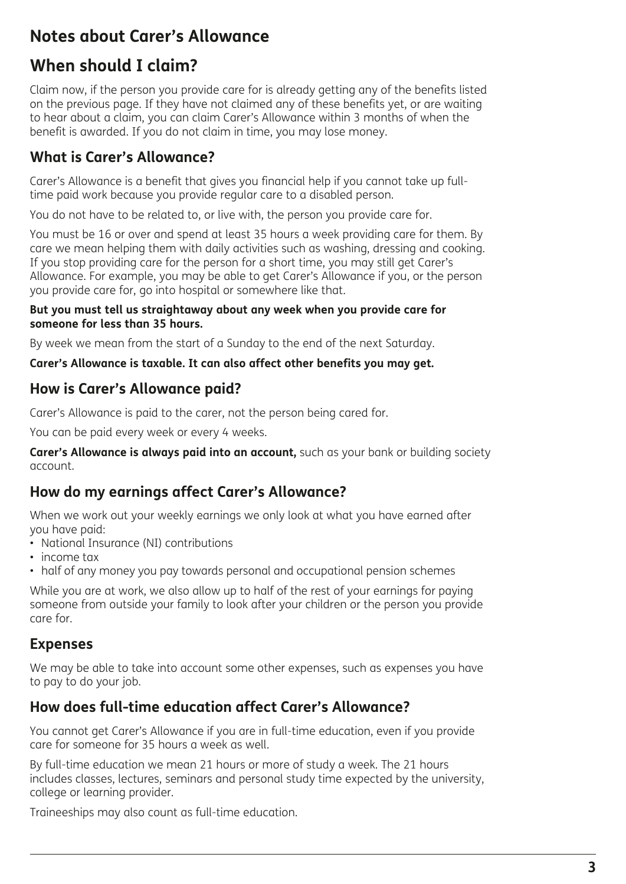# **Notes about Carer's Allowance**

# **When should I claim?**

Claim now, if the person you provide care for is already getting any of the benefits listed on the previous page. If they have not claimed any of these benefits yet, or are waiting to hear about a claim, you can claim Carer's Allowance within 3 months of when the benefit is awarded. If you do not claim in time, you may lose money.

# **What is Carer's Allowance?**

Carer's Allowance is a benefit that gives you financial help if you cannot take up fulltime paid work because you provide regular care to a disabled person.

You do not have to be related to, or live with, the person you provide care for.

You must be 16 or over and spend at least 35 hours a week providing care for them. By care we mean helping them with daily activities such as washing, dressing and cooking. If you stop providing care for the person for a short time, you may still get Carer's Allowance. For example, you may be able to get Carer's Allowance if you, or the person you provide care for, go into hospital or somewhere like that.

#### **But you must tell us straightaway about any week when you provide care for someone for less than 35 hours.**

By week we mean from the start of a Sunday to the end of the next Saturday.

#### **Carer's Allowance is taxable. It can also affect other benefits you may get.**

#### **How is Carer's Allowance paid?**

Carer's Allowance is paid to the carer, not the person being cared for.

You can be paid every week or every 4 weeks.

**Carer's Allowance is always paid into an account,** such as your bank or building society account.

#### **How do my earnings affect Carer's Allowance?**

When we work out your weekly earnings we only look at what you have earned after you have paid:

- National Insurance (NI) contributions
- income tax
- half of any money you pay towards personal and occupational pension schemes

While you are at work, we also allow up to half of the rest of your earnings for paying someone from outside your family to look after your children or the person you provide care for.

#### **Expenses**

We may be able to take into account some other expenses, such as expenses you have to pay to do your job.

#### **How does full-time education affect Carer's Allowance?**

You cannot get Carer's Allowance if you are in full-time education, even if you provide care for someone for 35 hours a week as well.

By full-time education we mean 21 hours or more of study a week. The 21 hours includes classes, lectures, seminars and personal study time expected by the university, college or learning provider.

Traineeships may also count as full-time education.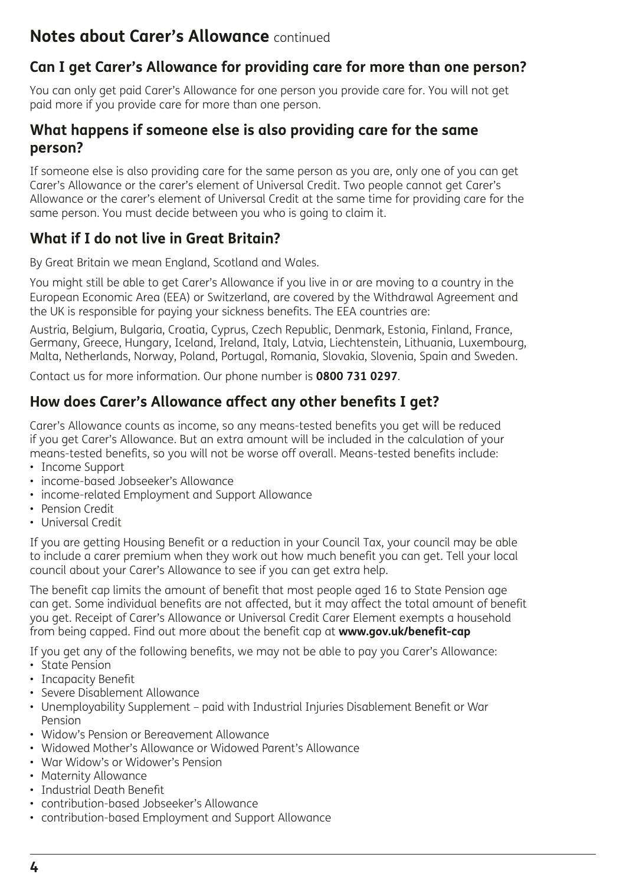#### **Can I get Carer's Allowance for providing care for more than one person?**

You can only get paid Carer's Allowance for one person you provide care for. You will not get paid more if you provide care for more than one person.

#### **What happens if someone else is also providing care for the same person?**

If someone else is also providing care for the same person as you are, only one of you can get Carer's Allowance or the carer's element of Universal Credit. Two people cannot get Carer's Allowance or the carer's element of Universal Credit at the same time for providing care for the same person. You must decide between you who is going to claim it.

#### **What if I do not live in Great Britain?**

By Great Britain we mean England, Scotland and Wales.

You might still be able to get Carer's Allowance if you live in or are moving to a country in the European Economic Area (EEA) or Switzerland, are covered by the Withdrawal Agreement and the UK is responsible for paying your sickness benefits. The EEA countries are:

Austria, Belgium, Bulgaria, Croatia, Cyprus, Czech Republic, Denmark, Estonia, Finland, France, Germany, Greece, Hungary, Iceland, Ireland, Italy, Latvia, Liechtenstein, Lithuania, Luxembourg, Malta, Netherlands, Norway, Poland, Portugal, Romania, Slovakia, Slovenia, Spain and Sweden.

Contact us for more information. Our phone number is **0800 731 0297**.

#### **How does Carer's Allowance affect any other benefts I get?**

Carer's Allowance counts as income, so any means-tested benefits you get will be reduced if you get Carer's Allowance. But an extra amount will be included in the calculation of your means-tested benefits, so you will not be worse off overall. Means-tested benefits include:

- Income Support
- income-based Jobseeker's Allowance
- income-related Employment and Support Allowance
- Pension Credit
- Universal Credit

If you are getting Housing Benefit or a reduction in your Council Tax, your council may be able to include a carer premium when they work out how much benefit you can get. Tell your local council about your Carer's Allowance to see if you can get extra help.

The benefit cap limits the amount of benefit that most people aged 16 to State Pension age can get. Some individual benefits are not affected, but it may affect the total amount of benefit you get. Receipt of Carer's Allowance or Universal Credit Carer Element exempts a household from being capped. Find out more about the benefit cap at **www.gov.uk/benefit-cap** 

If you get any of the following benefits, we may not be able to pay you Carer's Allowance:

- State Pension
- Incapacity Benefit
- Severe Disablement Allowance
- Unemployability Supplement paid with Industrial Injuries Disablement Beneft or War Pension
- Widow's Pension or Bereavement Allowance
- Widowed Mother's Allowance or Widowed Parent's Allowance
- War Widow's or Widower's Pension
- Maternity Allowance
- Industrial Death Beneft
- contribution-based Jobseeker's Allowance
- contribution-based Employment and Support Allowance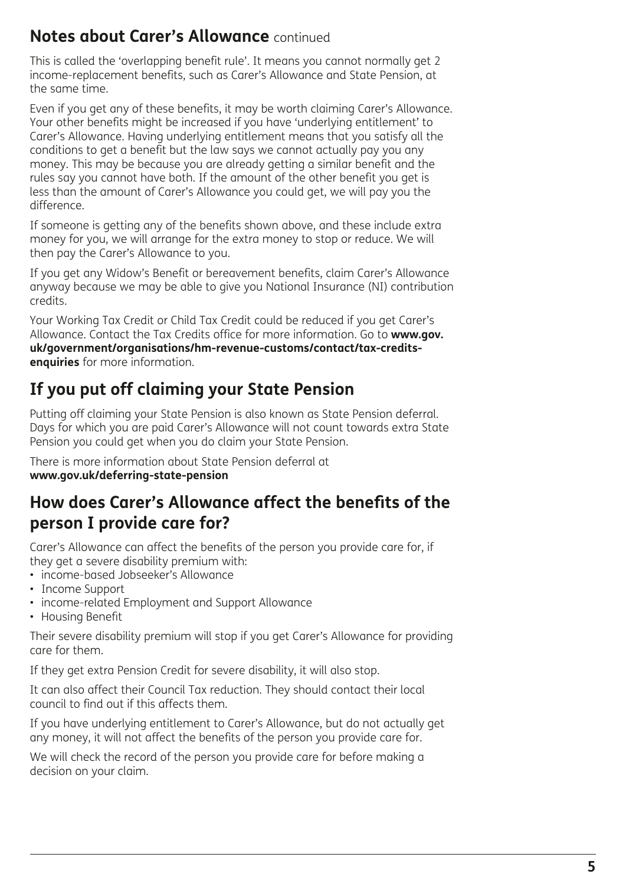This is called the 'overlapping benefit rule'. It means you cannot normally get 2 income-replacement benefits, such as Carer's Allowance and State Pension, at the same time.

Even if you get any of these benefits, it may be worth claiming Carer's Allowance. Your other benefits might be increased if you have 'underlying entitlement' to Carer's Allowance. Having underlying entitlement means that you satisfy all the conditions to get a benefit but the law says we cannot actually pay you any money. This may be because you are already getting a similar benefit and the rules say you cannot have both. If the amount of the other benefit you get is less than the amount of Carer's Allowance you could get, we will pay you the difference.

If someone is getting any of the benefits shown above, and these include extra money for you, we will arrange for the extra money to stop or reduce. We will then pay the Carer's Allowance to you.

If you get any Widow's Benefit or bereavement benefits, claim Carer's Allowance anyway because we may be able to give you National Insurance (NI) contribution credits.

Your Working Tax Credit or Child Tax Credit could be reduced if you get Carer's Allowance. Contact the Tax Credits office for more information. Go to **www.gov. uk/government/organisations/hm-revenue-customs/contact/tax-creditsenquiries** for more information.

# **If you put off claiming your State Pension**

Putting off claiming your State Pension is also known as State Pension deferral. Days for which you are paid Carer's Allowance will not count towards extra State Pension you could get when you do claim your State Pension.

There is more information about State Pension deferral at **www.gov.uk/deferring-state-pension** 

# **How does Carer's Allowance affect the benefts of the person I provide care for?**

Carer's Allowance can affect the benefits of the person you provide care for, if they get a severe disability premium with:

- income-based Jobseeker's Allowance
- Income Support
- income-related Employment and Support Allowance
- Housing Benefit

Their severe disability premium will stop if you get Carer's Allowance for providing care for them.

If they get extra Pension Credit for severe disability, it will also stop.

It can also affect their Council Tax reduction. They should contact their local council to find out if this affects them.

If you have underlying entitlement to Carer's Allowance, but do not actually get any money, it will not affect the benefits of the person you provide care for.

We will check the record of the person you provide care for before making a decision on your claim.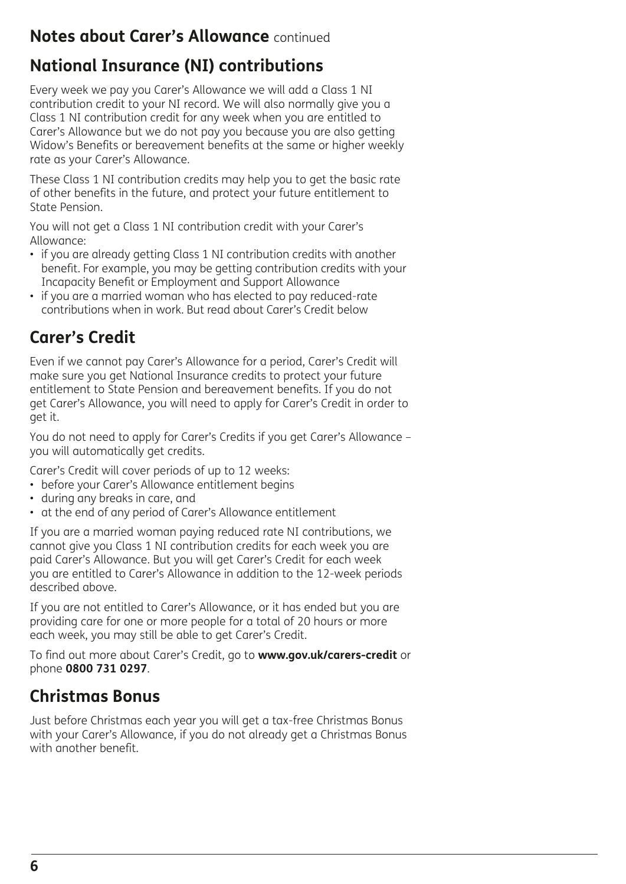# **National Insurance (NI) contributions**

Every week we pay you Carer's Allowance we will add a Class 1 NI contribution credit to your NI record. We will also normally give you a Class 1 NI contribution credit for any week when you are entitled to Carer's Allowance but we do not pay you because you are also getting Widow's Benefits or bereavement benefits at the same or higher weekly rate as your Carer's Allowance.

These Class 1 NI contribution credits may help you to get the basic rate of other benefits in the future, and protect your future entitlement to State Pension.

You will not get a Class 1 NI contribution credit with your Carer's Allowance:

- if you are already getting Class 1 NI contribution credits with another beneft. For example, you may be getting contribution credits with your Incapacity Beneft or Employment and Support Allowance
- if you are a married woman who has elected to pay reduced-rate contributions when in work. But read about Carer's Credit below

# **Carer's Credit**

Even if we cannot pay Carer's Allowance for a period, Carer's Credit will make sure you get National Insurance credits to protect your future entitlement to State Pension and bereavement benefits. If you do not get Carer's Allowance, you will need to apply for Carer's Credit in order to get it.

You do not need to apply for Carer's Credits if you get Carer's Allowance – you will automatically get credits.

Carer's Credit will cover periods of up to 12 weeks:

- before your Carer's Allowance entitlement begins
- during any breaks in care, and
- at the end of any period of Carer's Allowance entitlement

If you are a married woman paying reduced rate NI contributions, we cannot give you Class 1 NI contribution credits for each week you are paid Carer's Allowance. But you will get Carer's Credit for each week you are entitled to Carer's Allowance in addition to the 12-week periods described above.

If you are not entitled to Carer's Allowance, or it has ended but you are providing care for one or more people for a total of 20 hours or more each week, you may still be able to get Carer's Credit.

To find out more about Carer's Credit, go to **www.gov.uk/carers-credit** or phone **0800 731 0297**.

# **Christmas Bonus**

Just before Christmas each year you will get a tax-free Christmas Bonus with your Carer's Allowance, if you do not already get a Christmas Bonus with another benefit.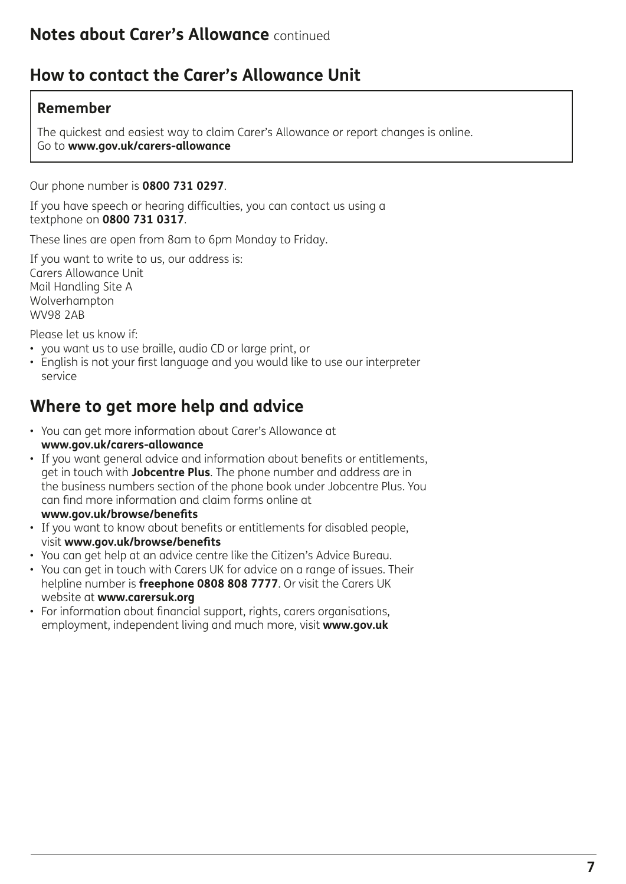# **How to contact the Carer's Allowance Unit**

#### **Remember**

The quickest and easiest way to claim Carer's Allowance or report changes is online. Go to **www.gov.uk/carers-allowance**

Our phone number is **0800 731 0297**.

If you have speech or hearing difficulties, you can contact us using a textphone on **0800 731 0317**.

These lines are open from 8am to 6pm Monday to Friday.

If you want to write to us, our address is: Carers Allowance Unit Mail Handling Site A Wolverhampton WV98 2AB

Please let us know if:

- you want us to use braille, audio CD or large print, or
- English is not your first language and you would like to use our interpreter service

# **Where to get more help and advice**

- You can get more information about Carer's Allowance at **www.gov.uk/carers-allowance**
- If you want general advice and information about benefts or entitlements, get in touch with **Jobcentre Plus**. The phone number and address are in the business numbers section of the phone book under Jobcentre Plus. You can fnd more information and claim forms online at **www.gov.uk/browse/benefts**
- If you want to know about benefts or entitlements for disabled people, visit **www.gov.uk/browse/benefts**
- You can get help at an advice centre like the Citizen's Advice Bureau.
- You can get in touch with Carers UK for advice on a range of issues. Their helpline number is **freephone 0808 808 7777**. Or visit the Carers UK website at **www.carersuk.org**
- For information about fnancial support, rights, carers organisations, employment, independent living and much more, visit **www.gov.uk**